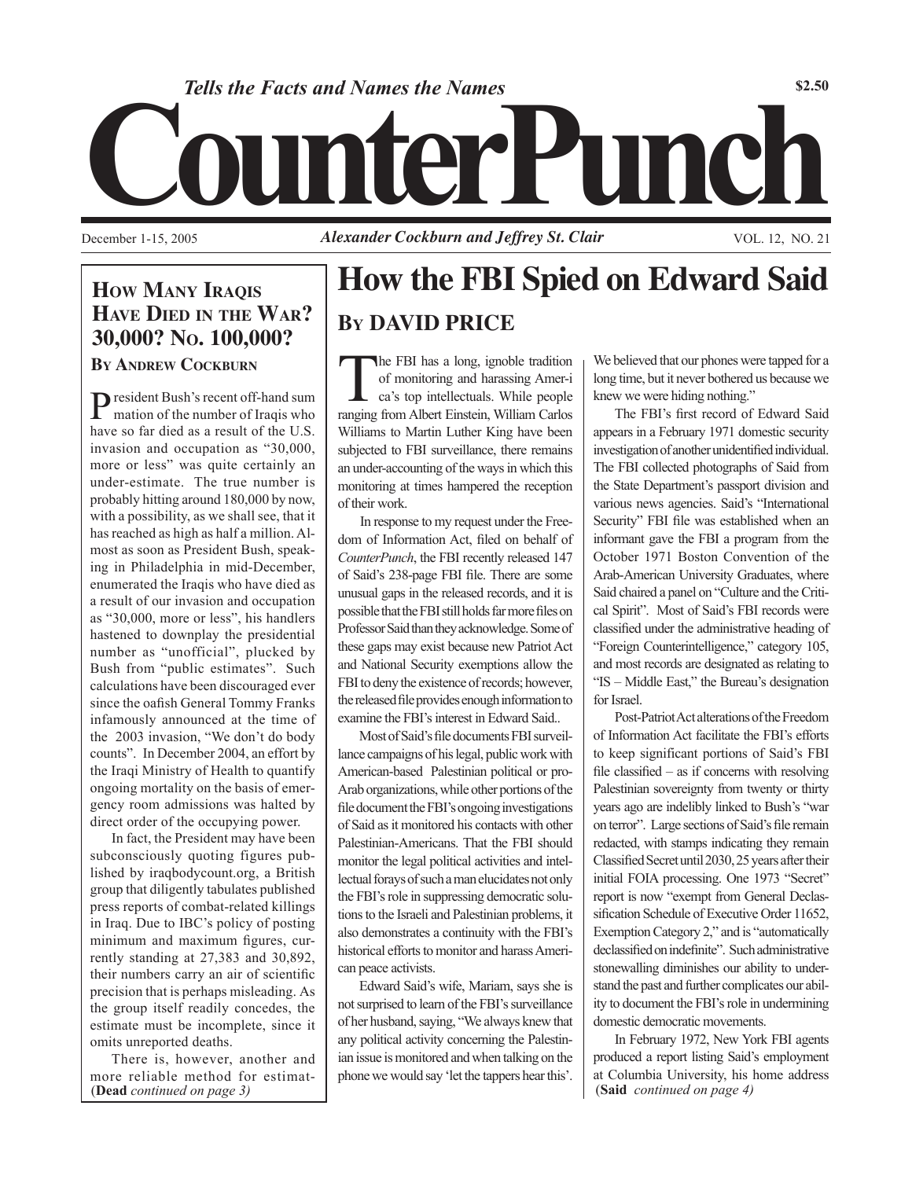

Tells the Facts and Names the Names<br> **Counter 1-15, 2005**<br>
Alexander Cockburn and Jeffrey St. Clair

December 1-15, 2005 **Alexander Cockburn and Jeffrey St. Clair** VOL. 12, NO. 21

## **How MANY IRAQIS Have Died in the War? 30,000? No. 100,000?**

**By Andrew Cockburn**

President Bush's recent off-hand sum mation of the number of Iraqis who have so far died as a result of the U.S. invasion and occupation as "30,000, more or less" was quite certainly an under-estimate. The true number is probably hitting around 180,000 by now, with a possibility, as we shall see, that it has reached as high as half a million. Almost as soon as President Bush, speaking in Philadelphia in mid-December, enumerated the Iraqis who have died as a result of our invasion and occupation as "30,000, more or less", his handlers hastened to downplay the presidential number as "unofficial", plucked by Bush from "public estimates". Such calculations have been discouraged ever since the oafish General Tommy Franks infamously announced at the time of the 2003 invasion, "We don't do body counts". In December 2004, an effort by the Iraqi Ministry of Health to quantify ongoing mortality on the basis of emergency room admissions was halted by direct order of the occupying power.

In fact, the President may have been subconsciously quoting figures published by iraqbodycount.org, a British group that diligently tabulates published press reports of combat-related killings in Iraq. Due to IBC's policy of posting minimum and maximum figures, currently standing at 27,383 and 30,892, their numbers carry an air of scientific precision that is perhaps misleading. As the group itself readily concedes, the estimate must be incomplete, since it omits unreported deaths.

There is, however, another and more reliable method for estimat-<br> **(Dead** *continued on page 3)* (Said *continued on page 4*) (Said *continued on page 4*) (**Dead** *continued on page 3)*

# **How the FBI Spied on Edward Said By DAVID PRICE**

The FBI has a long, ignoble tradition of monitoring and harassing Amer-i ca's top intellectuals. While people ranging from Albert Einstein, William Carlos Williams to Martin Luther King have been subjected to FBI surveillance, there remains an under-accounting of the ways in which this monitoring at times hampered the reception of their work.

In response to my request under the Freedom of Information Act, filed on behalf of *CounterPunch*, the FBI recently released 147 of Said's 238-page FBI file. There are some unusual gaps in the released records, and it is possible that the FBI still holds far more files on Professor Said than they acknowledge. Some of these gaps may exist because new Patriot Act and National Security exemptions allow the FBI to deny the existence of records; however, the released file provides enough information to examine the FBI's interest in Edward Said..

Most of Said's file documents FBI surveillance campaigns of his legal, public work with American-based Palestinian political or pro-Arab organizations, while other portions of the file document the FBI's ongoing investigations of Said as it monitored his contacts with other Palestinian-Americans. That the FBI should monitor the legal political activities and intellectual forays of such a man elucidates not only the FBI's role in suppressing democratic solutions to the Israeli and Palestinian problems, it also demonstrates a continuity with the FBI's historical efforts to monitor and harass American peace activists.

Edward Said's wife, Mariam, says she is not surprised to learn of the FBI's surveillance of her husband, saying, "We always knew that any political activity concerning the Palestinian issue is monitored and when talking on the

We believed that our phones were tapped for a long time, but it never bothered us because we knew we were hiding nothing."

The FBI's first record of Edward Said appears in a February 1971 domestic security investigation of another unidentified individual. The FBI collected photographs of Said from the State Department's passport division and various news agencies. Said's "International Security" FBI file was established when an informant gave the FBI a program from the October 1971 Boston Convention of the Arab-American University Graduates, where Said chaired a panel on "Culture and the Critical Spirit". Most of Said's FBI records were classified under the administrative heading of "Foreign Counterintelligence," category 105, and most records are designated as relating to "IS – Middle East," the Bureau's designation for Israel.

Post-Patriot Act alterations of the Freedom of Information Act facilitate the FBI's efforts to keep significant portions of Said's FBI file classified – as if concerns with resolving Palestinian sovereignty from twenty or thirty years ago are indelibly linked to Bush's "war on terror". Large sections of Said's file remain redacted, with stamps indicating they remain Classified Secret until 2030, 25 years after their initial FOIA processing. One 1973 "Secret" report is now "exempt from General Declassification Schedule of Executive Order 11652, Exemption Category 2," and is "automatically declassified on indefinite". Such administrative stonewalling diminishes our ability to understand the past and further complicates our ability to document the FBI's role in undermining domestic democratic movements.

In February 1972, New York FBI agents produced a report listing Said's employment at Columbia University, his home address (Said *continued on page 4*)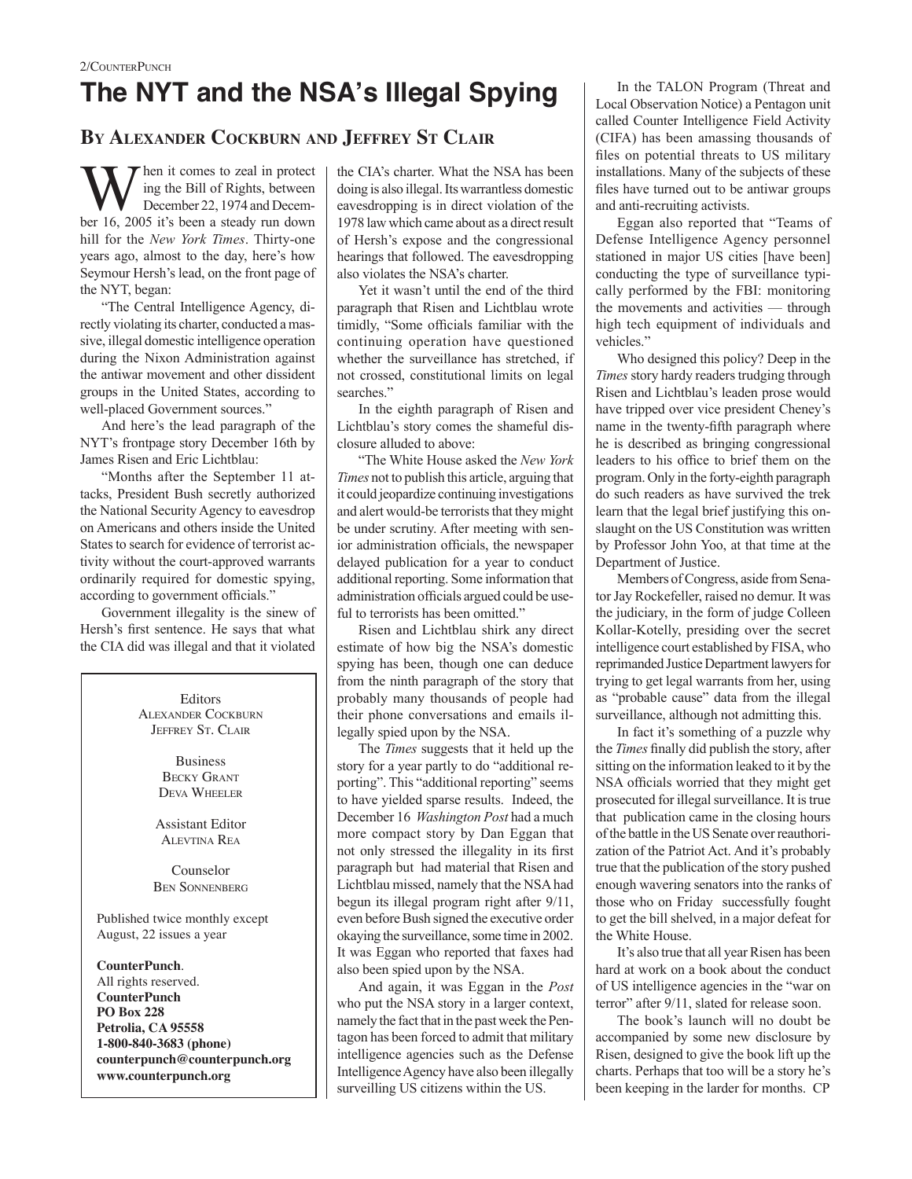## **By Alexander Cockburn and Jeffrey St Clair**

W hen it comes to zeal in protect<br>December 22, 1974 and December 16, 2005 it's been a steedy rin down ing the Bill of Rights, between ber 16, 2005 it's been a steady run down hill for the *New York Times*. Thirty-one years ago, almost to the day, here's how Seymour Hersh's lead, on the front page of the NYT, began:

"The Central Intelligence Agency, directly violating its charter, conducted a massive, illegal domestic intelligence operation during the Nixon Administration against the antiwar movement and other dissident groups in the United States, according to well-placed Government sources."

And here's the lead paragraph of the NYT's frontpage story December 16th by James Risen and Eric Lichtblau:

"Months after the September 11 attacks, President Bush secretly authorized the National Security Agency to eavesdrop on Americans and others inside the United States to search for evidence of terrorist activity without the court-approved warrants ordinarily required for domestic spying, according to government officials."

Government illegality is the sinew of Hersh's first sentence. He says that what the CIA did was illegal and that it violated

**Editors** Alexander Cockburn JEFFREY ST. CLAIR Business Becky Grant Deva Wheeler Assistant Editor Alevtina Rea Counselor Ben Sonnenberg Published twice monthly except August, 22 issues a year **CounterPunch**. All rights reserved. **CounterPunch PO Box 228**

**Petrolia, CA 95558 1-800-840-3683 (phone) counterpunch@counterpunch.org www.counterpunch.org**

the CIA's charter. What the NSA has been doing is also illegal. Its warrantless domestic eavesdropping is in direct violation of the 1978 law which came about as a direct result of Hersh's expose and the congressional hearings that followed. The eavesdropping also violates the NSA's charter.

Yet it wasn't until the end of the third paragraph that Risen and Lichtblau wrote timidly, "Some officials familiar with the continuing operation have questioned whether the surveillance has stretched, if not crossed, constitutional limits on legal searches."

In the eighth paragraph of Risen and Lichtblau's story comes the shameful disclosure alluded to above:

"The White House asked the *New York Times* not to publish this article, arguing that it could jeopardize continuing investigations and alert would-be terrorists that they might be under scrutiny. After meeting with senior administration officials, the newspaper delayed publication for a year to conduct additional reporting. Some information that administration officials argued could be useful to terrorists has been omitted."

Risen and Lichtblau shirk any direct estimate of how big the NSA's domestic spying has been, though one can deduce from the ninth paragraph of the story that probably many thousands of people had their phone conversations and emails illegally spied upon by the NSA.

The *Times* suggests that it held up the story for a year partly to do "additional reporting". This "additional reporting" seems to have yielded sparse results. Indeed, the December 16 *Washington Post* had a much more compact story by Dan Eggan that not only stressed the illegality in its first paragraph but had material that Risen and Lichtblau missed, namely that the NSA had begun its illegal program right after 9/11, even before Bush signed the executive order okaying the surveillance, some time in 2002. It was Eggan who reported that faxes had also been spied upon by the NSA.

And again, it was Eggan in the *Post* who put the NSA story in a larger context, namely the fact that in the past week the Pentagon has been forced to admit that military intelligence agencies such as the Defense Intelligence Agency have also been illegally surveilling US citizens within the US.

In the TALON Program (Threat and Local Observation Notice) a Pentagon unit called Counter Intelligence Field Activity (CIFA) has been amassing thousands of files on potential threats to US military installations. Many of the subjects of these files have turned out to be antiwar groups and anti-recruiting activists.

Eggan also reported that "Teams of Defense Intelligence Agency personnel stationed in major US cities [have been] conducting the type of surveillance typically performed by the FBI: monitoring the movements and activities — through high tech equipment of individuals and vehicles."

Who designed this policy? Deep in the *Times* story hardy readers trudging through Risen and Lichtblau's leaden prose would have tripped over vice president Cheney's name in the twenty-fifth paragraph where he is described as bringing congressional leaders to his office to brief them on the program. Only in the forty-eighth paragraph do such readers as have survived the trek learn that the legal brief justifying this onslaught on the US Constitution was written by Professor John Yoo, at that time at the Department of Justice.

Members of Congress, aside from Senator Jay Rockefeller, raised no demur. It was the judiciary, in the form of judge Colleen Kollar-Kotelly, presiding over the secret intelligence court established by FISA, who reprimanded Justice Department lawyers for trying to get legal warrants from her, using as "probable cause" data from the illegal surveillance, although not admitting this.

In fact it's something of a puzzle why the *Times* finally did publish the story, after sitting on the information leaked to it by the NSA officials worried that they might get prosecuted for illegal surveillance. It is true that publication came in the closing hours of the battle in the US Senate over reauthorization of the Patriot Act. And it's probably true that the publication of the story pushed enough wavering senators into the ranks of those who on Friday successfully fought to get the bill shelved, in a major defeat for the White House.

It's also true that all year Risen has been hard at work on a book about the conduct of US intelligence agencies in the "war on terror" after 9/11, slated for release soon.

The book's launch will no doubt be accompanied by some new disclosure by Risen, designed to give the book lift up the charts. Perhaps that too will be a story he's been keeping in the larder for months. CP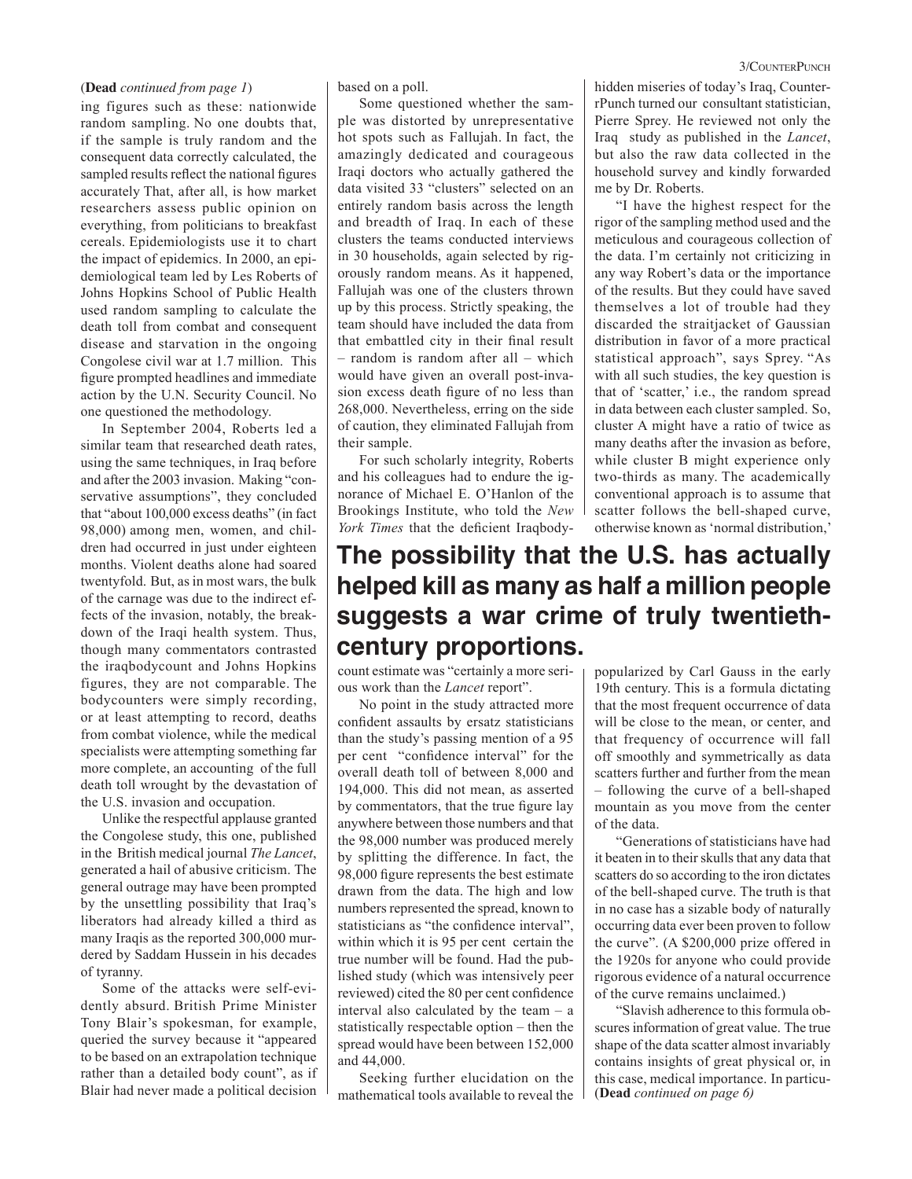#### (**Dead** *continued from page 1*)

ing figures such as these: nationwide random sampling. No one doubts that, if the sample is truly random and the consequent data correctly calculated, the sampled results reflect the national figures accurately That, after all, is how market researchers assess public opinion on everything, from politicians to breakfast cereals. Epidemiologists use it to chart the impact of epidemics. In 2000, an epidemiological team led by Les Roberts of Johns Hopkins School of Public Health used random sampling to calculate the death toll from combat and consequent disease and starvation in the ongoing Congolese civil war at 1.7 million. This figure prompted headlines and immediate action by the U.N. Security Council. No one questioned the methodology.

In September 2004, Roberts led a similar team that researched death rates. using the same techniques, in Iraq before and after the 2003 invasion. Making "conservative assumptions", they concluded that "about 100,000 excess deaths" (in fact 98,000) among men, women, and children had occurred in just under eighteen months. Violent deaths alone had soared twentyfold. But, as in most wars, the bulk of the carnage was due to the indirect effects of the invasion, notably, the breakdown of the Iraqi health system. Thus, though many commentators contrasted the iraqbodycount and Johns Hopkins figures, they are not comparable. The bodycounters were simply recording, or at least attempting to record, deaths from combat violence, while the medical specialists were attempting something far more complete, an accounting of the full death toll wrought by the devastation of the U.S. invasion and occupation.

Unlike the respectful applause granted the Congolese study, this one, published in the British medical journal *The Lancet*, generated a hail of abusive criticism. The general outrage may have been prompted by the unsettling possibility that Iraq's liberators had already killed a third as many Iraqis as the reported 300,000 murdered by Saddam Hussein in his decades of tyranny.

Some of the attacks were self-evidently absurd. British Prime Minister Tony Blair's spokesman, for example, queried the survey because it "appeared to be based on an extrapolation technique rather than a detailed body count", as if Blair had never made a political decision

based on a poll.

Some questioned whether the sample was distorted by unrepresentative hot spots such as Fallujah. In fact, the amazingly dedicated and courageous Iraqi doctors who actually gathered the data visited 33 "clusters" selected on an entirely random basis across the length and breadth of Iraq. In each of these clusters the teams conducted interviews in 30 households, again selected by rigorously random means. As it happened, Fallujah was one of the clusters thrown up by this process. Strictly speaking, the team should have included the data from that embattled city in their final result – random is random after all – which would have given an overall post-invasion excess death figure of no less than 268,000. Nevertheless, erring on the side of caution, they eliminated Fallujah from their sample.

For such scholarly integrity, Roberts and his colleagues had to endure the ignorance of Michael E. O'Hanlon of the Brookings Institute, who told the *New York Times* that the deficient Iraqbody-

### hidden miseries of today's Iraq, CounterrPunch turned our consultant statistician, Pierre Sprey. He reviewed not only the Iraq study as published in the *Lancet*, but also the raw data collected in the household survey and kindly forwarded me by Dr. Roberts.

"I have the highest respect for the rigor of the sampling method used and the meticulous and courageous collection of the data. I'm certainly not criticizing in any way Robert's data or the importance of the results. But they could have saved themselves a lot of trouble had they discarded the straitjacket of Gaussian distribution in favor of a more practical statistical approach", says Sprey. "As with all such studies, the key question is that of 'scatter,' i.e., the random spread in data between each cluster sampled. So, cluster A might have a ratio of twice as many deaths after the invasion as before, while cluster B might experience only two-thirds as many. The academically conventional approach is to assume that scatter follows the bell-shaped curve, otherwise known as 'normal distribution,'

# **The possibility that the U.S. has actually helped kill as many as half a million people suggests a war crime of truly twentiethcentury proportions.**

count estimate was "certainly a more serious work than the *Lancet* report".

No point in the study attracted more confident assaults by ersatz statisticians than the study's passing mention of a 95 per cent "confidence interval" for the overall death toll of between 8,000 and 194,000. This did not mean, as asserted by commentators, that the true figure lay anywhere between those numbers and that the 98,000 number was produced merely by splitting the difference. In fact, the 98,000 figure represents the best estimate drawn from the data. The high and low numbers represented the spread, known to statisticians as "the confidence interval", within which it is 95 per cent certain the true number will be found. Had the published study (which was intensively peer reviewed) cited the 80 per cent confidence interval also calculated by the team – a statistically respectable option – then the spread would have been between 152,000 and 44,000.

Seeking further elucidation on the mathematical tools available to reveal the popularized by Carl Gauss in the early 19th century. This is a formula dictating that the most frequent occurrence of data will be close to the mean, or center, and that frequency of occurrence will fall off smoothly and symmetrically as data scatters further and further from the mean – following the curve of a bell-shaped mountain as you move from the center of the data.

"Generations of statisticians have had it beaten in to their skulls that any data that scatters do so according to the iron dictates of the bell-shaped curve. The truth is that in no case has a sizable body of naturally occurring data ever been proven to follow the curve". (A \$200,000 prize offered in the 1920s for anyone who could provide rigorous evidence of a natural occurrence of the curve remains unclaimed.)

"Slavish adherence to this formula obscures information of great value. The true shape of the data scatter almost invariably contains insights of great physical or, in this case, medical importance. In particu- (**Dead** *continued on page 6)*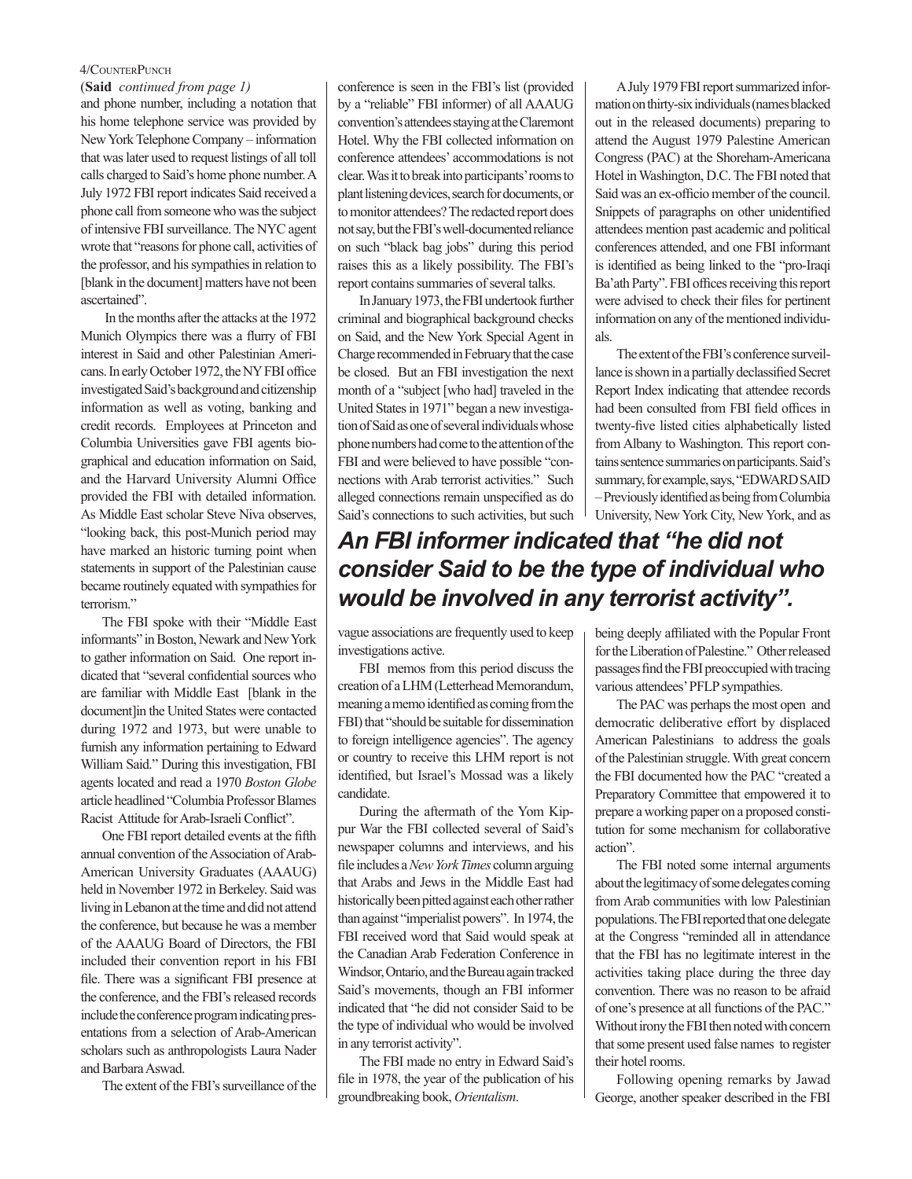#### 4/CounterPunch

and phone number, including a notation that his home telephone service was provided by New York Telephone Company – information that was later used to request listings of all toll calls charged to Said's home phone number. A July 1972 FBI report indicates Said received a phone call from someone who was the subject of intensive FBI surveillance. The NYC agent wrote that "reasons for phone call, activities of the professor, and his sympathies in relation to [blank in the document] matters have not been ascertained". (**Said** *continued from page 1)*

 In the months after the attacks at the 1972 Munich Olympics there was a flurry of FBI interest in Said and other Palestinian Americans. In early October 1972, the NY FBI office investigated Said's background and citizenship information as well as voting, banking and credit records. Employees at Princeton and Columbia Universities gave FBI agents biographical and education information on Said, and the Harvard University Alumni Office provided the FBI with detailed information. As Middle East scholar Steve Niva observes, "looking back, this post-Munich period may have marked an historic turning point when statements in support of the Palestinian cause became routinely equated with sympathies for terrorism."

The FBI spoke with their "Middle East informants" in Boston, Newark and New York to gather information on Said. One report indicated that "several confidential sources who are familiar with Middle East [blank in the document]in the United States were contacted during 1972 and 1973, but were unable to furnish any information pertaining to Edward William Said." During this investigation, FBI agents located and read a 1970 *Boston Globe*  article headlined "Columbia Professor Blames Racist Attitude for Arab-Israeli Conflict".

One FBI report detailed events at the fifth annual convention of the Association of Arab-American University Graduates (AAAUG) held in November 1972 in Berkeley. Said was living in Lebanon at the time and did not attend the conference, but because he was a member of the AAAUG Board of Directors, the FBI included their convention report in his FBI file. There was a significant FBI presence at the conference, and the FBI's released records include the conference program indicating presentations from a selection of Arab-American scholars such as anthropologists Laura Nader and Barbara Aswad.

The extent of the FBI's surveillance of the

conference is seen in the FBI's list (provided by a "reliable" FBI informer) of all AAAUG convention's attendees staying at the Claremont Hotel. Why the FBI collected information on conference attendees' accommodations is not clear. Was it to break into participants' rooms to plant listening devices, search for documents, or to monitor attendees? The redacted report does not say, but the FBI's well-documented reliance on such "black bag jobs" during this period raises this as a likely possibility. The FBI's report contains summaries of several talks.

In January 1973, the FBI undertook further criminal and biographical background checks on Said, and the New York Special Agent in Charge recommended in February that the case be closed. But an FBI investigation the next month of a "subject [who had] traveled in the United States in 1971" began a new investigation of Said as one of several individuals whose phone numbers had come to the attention of the FBI and were believed to have possible "connections with Arab terrorist activities." Such alleged connections remain unspecified as do Said's connections to such activities, but such

# *An FBI informer indicated that "he did not consider Said to be the type of individual who would be involved in any terrorist activity".*

als.

vague associations are frequently used to keep investigations active.

FBI memos from this period discuss the creation of a LHM (Letterhead Memorandum, meaning a memo identified as coming from the FBI) that "should be suitable for dissemination to foreign intelligence agencies". The agency or country to receive this LHM report is not identified, but Israel's Mossad was a likely candidate.

During the aftermath of the Yom Kippur War the FBI collected several of Said's newspaper columns and interviews, and his file includes a *New York Times* column arguing that Arabs and Jews in the Middle East had historically been pitted against each other rather than against "imperialist powers". In 1974, the FBI received word that Said would speak at the Canadian Arab Federation Conference in Windsor, Ontario, and the Bureau again tracked Said's movements, though an FBI informer indicated that "he did not consider Said to be the type of individual who would be involved in any terrorist activity".

The FBI made no entry in Edward Said's file in 1978, the year of the publication of his groundbreaking book, *Orientalism*.

being deeply affiliated with the Popular Front for the Liberation of Palestine." Other released passages find the FBI preoccupied with tracing various attendees' PFLP sympathies.

A July 1979 FBI report summarized information on thirty-six individuals (names blacked out in the released documents) preparing to attend the August 1979 Palestine American Congress (PAC) at the Shoreham-Americana Hotel in Washington, D.C. The FBI noted that Said was an ex-officio member of the council. Snippets of paragraphs on other unidentified attendees mention past academic and political conferences attended, and one FBI informant is identified as being linked to the "pro-Iraqi Ba'ath Party". FBI offices receiving this report were advised to check their files for pertinent information on any of the mentioned individu-

The extent of the FBI's conference surveillance is shown in a partially declassified Secret Report Index indicating that attendee records had been consulted from FBI field offices in twenty-five listed cities alphabetically listed from Albany to Washington. This report contains sentence summaries on participants. Said's summary, for example, says, "EDWARD SAID – Previously identified as being from Columbia University, New York City, New York, and as

The PAC was perhaps the most open and democratic deliberative effort by displaced American Palestinians to address the goals of the Palestinian struggle. With great concern the FBI documented how the PAC "created a Preparatory Committee that empowered it to prepare a working paper on a proposed constitution for some mechanism for collaborative action".

The FBI noted some internal arguments about the legitimacy of some delegates coming from Arab communities with low Palestinian populations. The FBI reported that one delegate at the Congress "reminded all in attendance that the FBI has no legitimate interest in the activities taking place during the three day convention. There was no reason to be afraid of one's presence at all functions of the PAC." Without irony the FBI then noted with concern that some present used false names to register their hotel rooms.

Following opening remarks by Jawad George, another speaker described in the FBI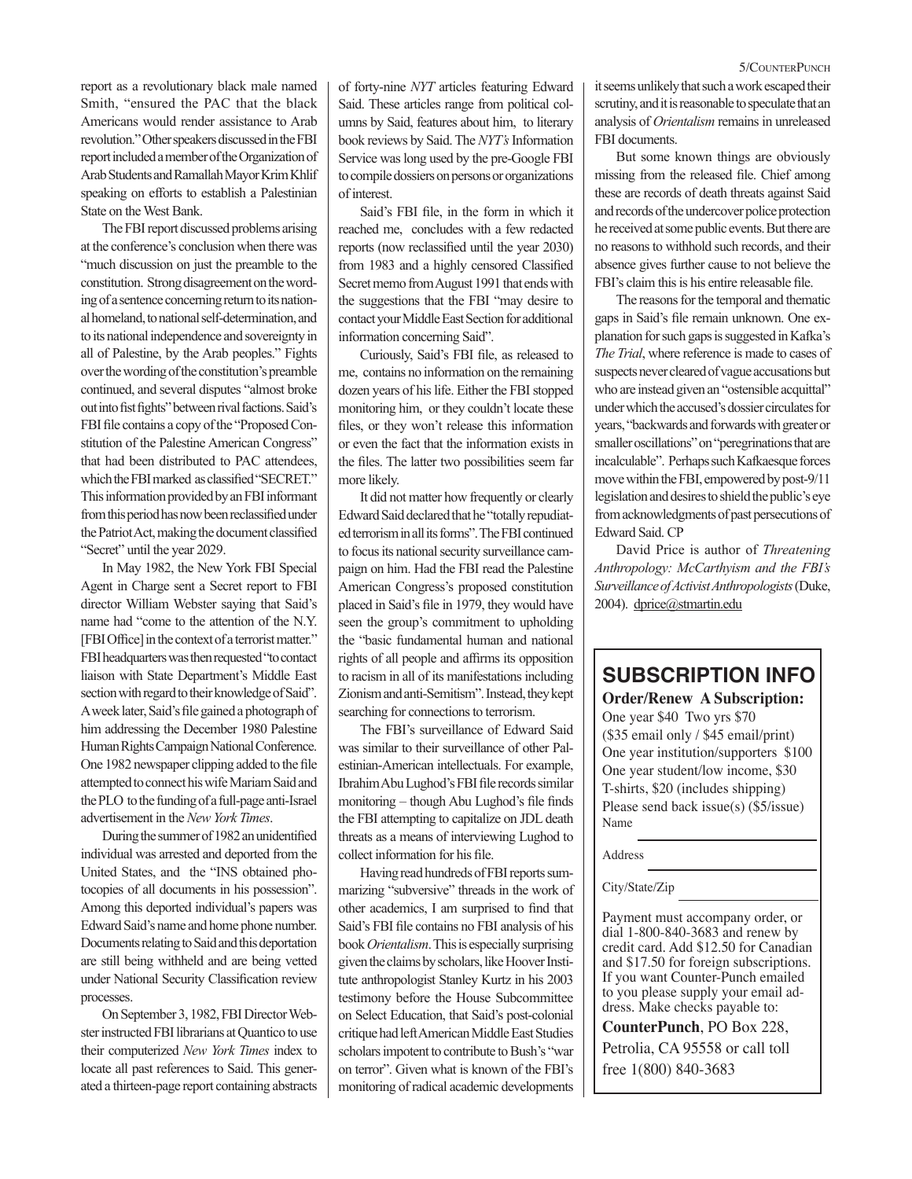report as a revolutionary black male named Smith, "ensured the PAC that the black Americans would render assistance to Arab revolution." Other speakers discussed in the FBI report included a member of the Organization of Arab Students and Ramallah Mayor Krim Khlif speaking on efforts to establish a Palestinian State on the West Bank.

The FBI report discussed problems arising at the conference's conclusion when there was "much discussion on just the preamble to the constitution. Strong disagreement on the wording of a sentence concerning return to its national homeland, to national self-determination, and to its national independence and sovereignty in all of Palestine, by the Arab peoples." Fights over the wording of the constitution's preamble continued, and several disputes "almost broke out into fist fights" between rival factions. Said's FBI file contains a copy of the "Proposed Constitution of the Palestine American Congress" that had been distributed to PAC attendees, which the FBI marked as classified "SECRET." This information provided by an FBI informant from this period has now been reclassified under the Patriot Act, making the document classified "Secret" until the year 2029.

In May 1982, the New York FBI Special Agent in Charge sent a Secret report to FBI director William Webster saying that Said's name had "come to the attention of the N.Y. [FBI Office] in the context of a terrorist matter." FBI headquarters was then requested "to contact liaison with State Department's Middle East section with regard to their knowledge of Said". A week later, Said's file gained a photograph of him addressing the December 1980 Palestine Human Rights Campaign National Conference. One 1982 newspaper clipping added to the file attempted to connect his wife Mariam Said and the PLO to the funding of a full-page anti-Israel advertisement in the *New York Times*.

During the summer of 1982 an unidentified individual was arrested and deported from the United States, and the "INS obtained photocopies of all documents in his possession". Among this deported individual's papers was Edward Said's name and home phone number. Documents relating to Said and this deportation are still being withheld and are being vetted under National Security Classification review processes.

On September 3, 1982, FBI Director Webster instructed FBI librarians at Quantico to use their computerized *New York Times* index to locate all past references to Said. This generated a thirteen-page report containing abstracts of forty-nine *NYT* articles featuring Edward Said. These articles range from political columns by Said, features about him, to literary book reviews by Said. The *NYT's* Information Service was long used by the pre-Google FBI to compile dossiers on persons or organizations of interest.

Said's FBI file, in the form in which it reached me, concludes with a few redacted reports (now reclassified until the year 2030) from 1983 and a highly censored Classified Secret memo from August 1991 that ends with the suggestions that the FBI "may desire to contact your Middle East Section for additional information concerning Said".

Curiously, Said's FBI file, as released to me, contains no information on the remaining dozen years of his life. Either the FBI stopped monitoring him, or they couldn't locate these files, or they won't release this information or even the fact that the information exists in the files. The latter two possibilities seem far more likely.

It did not matter how frequently or clearly Edward Said declared that he "totally repudiated terrorism in all its forms". The FBI continued to focus its national security surveillance campaign on him. Had the FBI read the Palestine American Congress's proposed constitution placed in Said's file in 1979, they would have seen the group's commitment to upholding the "basic fundamental human and national rights of all people and affirms its opposition to racism in all of its manifestations including Zionism and anti-Semitism". Instead, they kept searching for connections to terrorism.

The FBI's surveillance of Edward Said was similar to their surveillance of other Palestinian-American intellectuals. For example, Ibrahim Abu Lughod's FBI file records similar monitoring – though Abu Lughod's file finds the FBI attempting to capitalize on JDL death threats as a means of interviewing Lughod to collect information for his file.

Having read hundreds of FBI reports summarizing "subversive" threads in the work of other academics, I am surprised to find that Said's FBI file contains no FBI analysis of his book *Orientalism*. This is especially surprising given the claims by scholars, like Hoover Institute anthropologist Stanley Kurtz in his 2003 testimony before the House Subcommittee on Select Education, that Said's post-colonial critique had left American Middle East Studies scholars impotent to contribute to Bush's "war on terror". Given what is known of the FBI's monitoring of radical academic developments it seems unlikely that such a work escaped their scrutiny, and it is reasonable to speculate that an analysis of *Orientalism* remains in unreleased FBI documents.

But some known things are obviously missing from the released file. Chief among these are records of death threats against Said and records of the undercover police protection he received at some public events. But there are no reasons to withhold such records, and their absence gives further cause to not believe the FBI's claim this is his entire releasable file.

The reasons for the temporal and thematic gaps in Said's file remain unknown. One explanation for such gaps is suggested in Kafka's *The Trial*, where reference is made to cases of suspects never cleared of vague accusations but who are instead given an "ostensible acquittal" under which the accused's dossier circulates for years, "backwards and forwards with greater or smaller oscillations" on "peregrinations that are incalculable". Perhaps such Kafkaesque forces move within the FBI, empowered by post-9/11 legislation and desires to shield the public's eye from acknowledgments of past persecutions of Edward Said. CP

David Price is author of *Threatening Anthropology: McCarthyism and the FBI's Surveillance of Activist Anthropologists* (Duke, 2004). dprice@stmartin.edu

# **SUBSCRIPTION INFO**

## **Order/Renew A Subscription:**

One year \$40 Two yrs \$70 (\$35 email only / \$45 email/print) One year institution/supporters \$100 One year student/low income, \$30 T-shirts, \$20 (includes shipping) Please send back issue(s) (\$5/issue) Name

Address

#### City/State/Zip

Payment must accompany order, or dial 1-800-840-3683 and renew by credit card. Add \$12.50 for Canadian and \$17.50 for foreign subscriptions. If you want Counter-Punch emailed to you please supply your email ad dress. Make checks payable to:

**CounterPunch**, PO Box 228, Petrolia, CA 95558 or call toll free 1(800) 840-3683